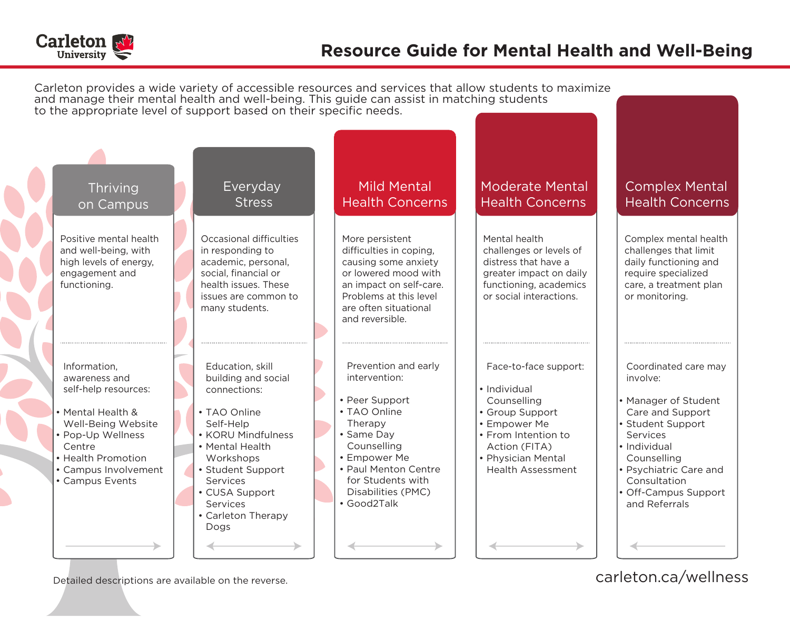

CONTROL CO.

|  |                                                                                                                                                                                                  |                                                                                                                                                                                                                                         | and manage their mental health and well-being. This guide can assist in matching students                                                                                                                         | Carleton provides a wide variety of accessible resources and services that allow students to maximize                                                                             |                                                                                                                                                                                                                                 |
|--|--------------------------------------------------------------------------------------------------------------------------------------------------------------------------------------------------|-----------------------------------------------------------------------------------------------------------------------------------------------------------------------------------------------------------------------------------------|-------------------------------------------------------------------------------------------------------------------------------------------------------------------------------------------------------------------|-----------------------------------------------------------------------------------------------------------------------------------------------------------------------------------|---------------------------------------------------------------------------------------------------------------------------------------------------------------------------------------------------------------------------------|
|  | to the appropriate level of support based on their specific needs.                                                                                                                               |                                                                                                                                                                                                                                         |                                                                                                                                                                                                                   |                                                                                                                                                                                   |                                                                                                                                                                                                                                 |
|  |                                                                                                                                                                                                  |                                                                                                                                                                                                                                         |                                                                                                                                                                                                                   |                                                                                                                                                                                   |                                                                                                                                                                                                                                 |
|  | Thriving<br>on Campus                                                                                                                                                                            | Everyday<br><b>Stress</b>                                                                                                                                                                                                               | <b>Mild Mental</b><br><b>Health Concerns</b>                                                                                                                                                                      | <b>Moderate Mental</b><br><b>Health Concerns</b>                                                                                                                                  | <b>Complex Mental</b><br><b>Health Concerns</b>                                                                                                                                                                                 |
|  | Positive mental health<br>and well-being, with<br>high levels of energy,<br>engagement and<br>functioning.                                                                                       | Occasional difficulties<br>in responding to<br>academic, personal,<br>social, financial or<br>health issues. These<br>issues are common to<br>many students.                                                                            | More persistent<br>difficulties in coping,<br>causing some anxiety<br>or lowered mood with<br>an impact on self-care.<br>Problems at this level<br>are often situational<br>and reversible.                       | Mental health<br>challenges or levels of<br>distress that have a<br>greater impact on daily<br>functioning, academics<br>or social interactions.                                  | Complex mental health<br>challenges that limit<br>daily functioning and<br>require specialized<br>care, a treatment plan<br>or monitoring.                                                                                      |
|  | Information,<br>awareness and<br>self-help resources:<br>• Mental Health &<br>Well-Being Website<br>• Pop-Up Wellness<br>Centre<br>• Health Promotion<br>• Campus Involvement<br>• Campus Events | Education, skill<br>building and social<br>connections:<br>• TAO Online<br>Self-Help<br>• KORU Mindfulness<br>• Mental Health<br>Workshops<br>• Student Support<br>Services<br>• CUSA Support<br>Services<br>• Carleton Therapy<br>Dogs | Prevention and early<br>intervention:<br>• Peer Support<br>• TAO Online<br>Therapy<br>• Same Day<br>Counselling<br>• Empower Me<br>• Paul Menton Centre<br>for Students with<br>Disabilities (PMC)<br>• Good2Talk | Face-to-face support:<br>• Individual<br>Counselling<br>• Group Support<br>• Empower Me<br>• From Intention to<br>Action (FITA)<br>• Physician Mental<br><b>Health Assessment</b> | Coordinated care may<br>involve:<br>• Manager of Student<br>Care and Support<br>• Student Support<br>Services<br>• Individual<br>Counselling<br>• Psychiatric Care and<br>Consultation<br>• Off-Campus Support<br>and Referrals |
|  |                                                                                                                                                                                                  |                                                                                                                                                                                                                                         |                                                                                                                                                                                                                   |                                                                                                                                                                                   |                                                                                                                                                                                                                                 |

Detailed descriptions are available on the reverse. Carleton.ca/wellness carleton.ca/wellness